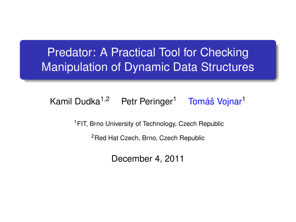### **Predator: A Practical Tool for Checking** Manipulation of Dynamic Data Structures

#### Kamil Dudka<sup>1,2</sup> Petr Peringer<sup>1</sup> Tomáš Vojnar<sup>1</sup>

<sup>1</sup> FIT, Brno University of Technology, Czech Republic

<sup>2</sup>Red Hat Czech, Brno, Czech Republic

December 4, 2011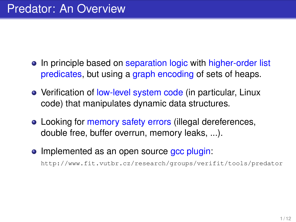- In principle based on separation logic with higher-order list predicates, but using a graph encoding of sets of heaps.
- Verification of low-level system code (in particular, Linux code) that manipulates dynamic data structures.
- Looking for memory safety errors (illegal dereferences, double free, buffer overrun, memory leaks, ...).
- Implemented as an open source acc plugin:

<http://www.fit.vutbr.cz/research/groups/verifit/tools/predator>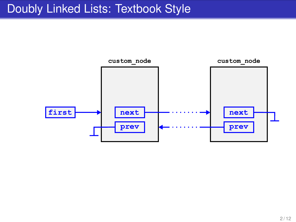### Doubly Linked Lists: Textbook Style

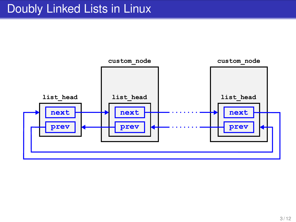### Doubly Linked Lists in Linux

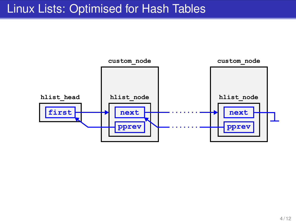#### Linux Lists: Optimised for Hash Tables

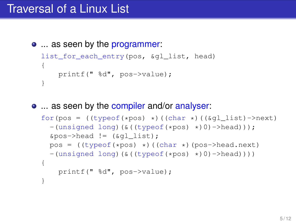### Traversal of a Linux List

**...** as seen by the programmer:

```
list for each entry(pos, &gl list, head)
{
    printf(" %d", pos->value);
}
```
• ... as seen by the compiler and/or analyser:

```
for(pos = ((\text{typeof}(*\text{pos}) *)((\text{char} *)((\&ql\;list)-\text{newt})-(unsigned long)(&((typeof(*pos) *)0)->head)));
  \text{kpos}->head != (\text{eql\_list});
  pos = ( (typeof(*pos) *) ((char *) (pos-)head.next)-(unsigned long)(&((typeof(*pos) *)0)->head))))
{
    printf(" %d", pos->value);
}
```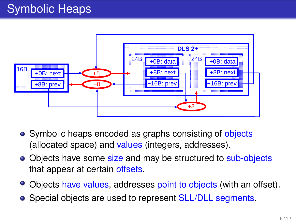# Symbolic Heaps



- Symbolic heaps encoded as graphs consisting of objects (allocated space) and values (integers, addresses).
- Objects have some size and may be structured to sub-objects that appear at certain offsets.
- Objects have values, addresses point to objects (with an offset).
- Special objects are used to represent SLL/DLL segments.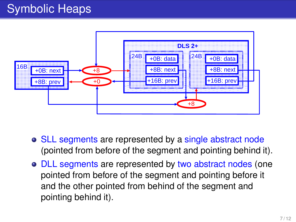# Symbolic Heaps



- SLL segments are represented by a single abstract node (pointed from before of the segment and pointing behind it).
- DLL segments are represented by two abstract nodes (one pointed from before of the segment and pointing before it and the other pointed from behind of the segment and pointing behind it).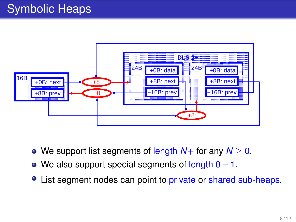# Symbolic Heaps



- We support list segments of length *N*+ for any *N* ≥ 0.
- We also support special segments of length  $0 1$ .
- List segment nodes can point to private or shared sub-heaps.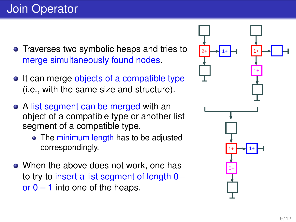- Traverses two symbolic heaps and tries to merge simultaneously found nodes.
- It can merge objects of a compatible type (i.e., with the same size and structure).
- A list segment can be merged with an object of a compatible type or another list segment of a compatible type.
	- The minimum length has to be adjusted correspondingly.
- When the above does not work, one has to try to insert a list segment of length  $0+$ or  $0 - 1$  into one of the heaps.

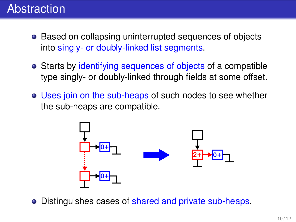## Abstraction

- Based on collapsing uninterrupted sequences of objects into singly- or doubly-linked list segments.
- Starts by identifying sequences of objects of a compatible type singly- or doubly-linked through fields at some offset.
- Uses join on the sub-heaps of such nodes to see whether the sub-heaps are compatible.



Distinguishes cases of shared and private sub-heaps.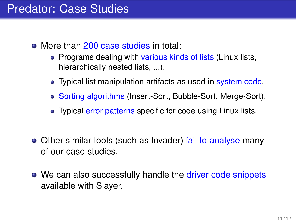### Predator: Case Studies

- More than 200 case studies in total:
	- Programs dealing with various kinds of lists (Linux lists, hierarchically nested lists, ...).
	- Typical list manipulation artifacts as used in system code.
	- Sorting algorithms (Insert-Sort, Bubble-Sort, Merge-Sort).
	- Typical error patterns specific for code using Linux lists.
- Other similar tools (such as Invader) fail to analyse many of our case studies.
- We can also successfully handle the driver code snippets available with Slayer.